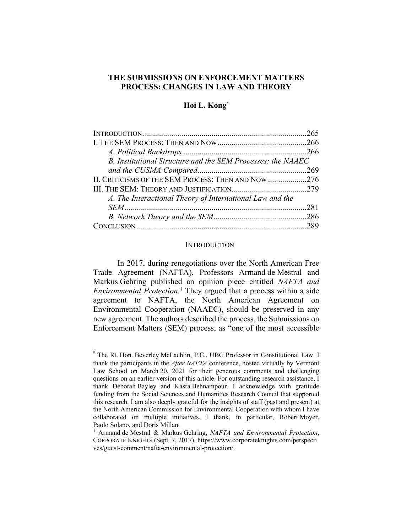# **THE SUBMISSIONS ON ENFORCEMENT MATTERS PROCESS: CHANGES IN LAW AND THEORY**

## **Hoi L. Kong\***

| B. Institutional Structure and the SEM Processes: the NAAEC |  |
|-------------------------------------------------------------|--|
|                                                             |  |
| II. CRITICISMS OF THE SEM PROCESS: THEN AND NOW 276         |  |
|                                                             |  |
| A. The Interactional Theory of International Law and the    |  |
|                                                             |  |
|                                                             |  |
|                                                             |  |

#### **INTRODUCTION**

In 2017, during renegotiations over the North American Free Trade Agreement (NAFTA), Professors Armand de Mestral and Markus Gehring published an opinion piece entitled *NAFTA and Environmental Protection.*<sup>1</sup> They argued that a process within a side agreement to NAFTA, the North American Agreement on Environmental Cooperation (NAAEC), should be preserved in any new agreement. The authors described the process, the Submissions on Enforcement Matters (SEM) process, as "one of the most accessible

<sup>\*</sup> The Rt. Hon. Beverley McLachlin, P.C., UBC Professor in Constitutional Law. I thank the participants in the *After NAFTA* conference, hosted virtually by Vermont Law School on March 20, 2021 for their generous comments and challenging questions on an earlier version of this article. For outstanding research assistance, I thank Deborah Bayley and Kasra Behnampour. I acknowledge with gratitude funding from the Social Sciences and Humanities Research Council that supported this research. I am also deeply grateful for the insights of staff (past and present) at the North American Commission for Environmental Cooperation with whom I have collaborated on multiple initiatives. I thank, in particular, Robert Moyer, Paolo Solano, and Doris Millan.

<sup>1</sup> Armand de Mestral & Markus Gehring, *NAFTA and Environmental Protection*, CORPORATE KNIGHTS (Sept. 7, 2017), https://www.corporateknights.com/perspecti ves/guest-comment/nafta-environmental-protection/.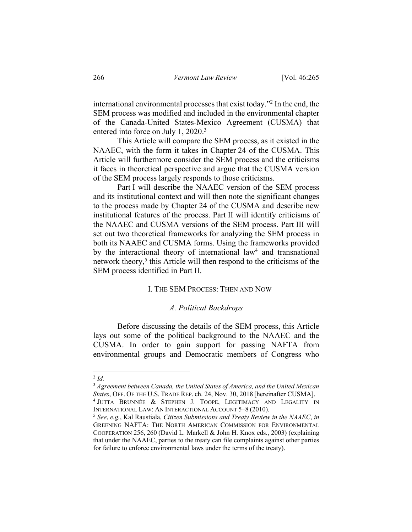international environmental processes that exist today."2 In the end, the SEM process was modified and included in the environmental chapter of the Canada-United States-Mexico Agreement (CUSMA) that entered into force on July 1, 2020.<sup>3</sup>

This Article will compare the SEM process, as it existed in the NAAEC, with the form it takes in Chapter 24 of the CUSMA. This Article will furthermore consider the SEM process and the criticisms it faces in theoretical perspective and argue that the CUSMA version of the SEM process largely responds to those criticisms.

Part I will describe the NAAEC version of the SEM process and its institutional context and will then note the significant changes to the process made by Chapter 24 of the CUSMA and describe new institutional features of the process. Part II will identify criticisms of the NAAEC and CUSMA versions of the SEM process. Part III will set out two theoretical frameworks for analyzing the SEM process in both its NAAEC and CUSMA forms. Using the frameworks provided by the interactional theory of international law<sup>4</sup> and transnational network theory,<sup>5</sup> this Article will then respond to the criticisms of the SEM process identified in Part II.

### I. THE SEM PROCESS: THEN AND NOW

## *A. Political Backdrops*

Before discussing the details of the SEM process, this Article lays out some of the political background to the NAAEC and the CUSMA. In order to gain support for passing NAFTA from environmental groups and Democratic members of Congress who

 $^{2}$  *Id.* 

<sup>3</sup> *Agreement between Canada, the United States of America, and the United Mexican States*, OFF. OF THE U.S. TRADE REP. ch. 24, Nov. 30, 2018 [hereinafter CUSMA]. <sup>4</sup> JUTTA BRUNNÉE & STEPHEN J. TOOPE, LEGITIMACY AND LEGALITY IN

INTERNATIONAL LAW: AN INTERACTIONAL ACCOUNT 5–8 (2010).

<sup>5</sup> *See*, *e.g.*, Kal Raustiala, *Citizen Submissions and Treaty Review in the NAAEC*, *in* GREENING NAFTA: THE NORTH AMERICAN COMMISSION FOR ENVIRONMENTAL COOPERATION 256, 260 (David L. Markell & John H. Knox eds., 2003) (explaining that under the NAAEC, parties to the treaty can file complaints against other parties for failure to enforce environmental laws under the terms of the treaty).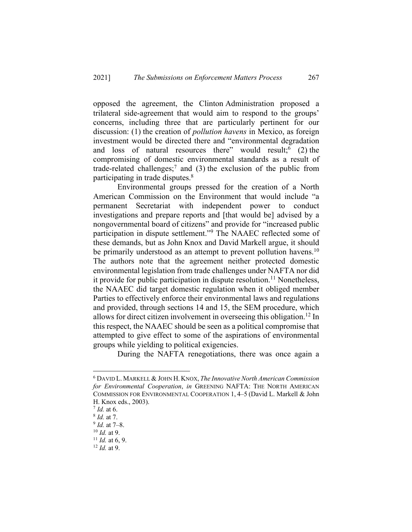opposed the agreement, the Clinton Administration proposed a trilateral side-agreement that would aim to respond to the groups' concerns, including three that are particularly pertinent for our discussion: (1) the creation of *pollution havens* in Mexico, as foreign investment would be directed there and "environmental degradation and loss of natural resources there" would result;  $(2)$  the compromising of domestic environmental standards as a result of trade-related challenges;<sup>7</sup> and (3) the exclusion of the public from participating in trade disputes.<sup>8</sup>

Environmental groups pressed for the creation of a North American Commission on the Environment that would include "a permanent Secretariat with independent power to conduct investigations and prepare reports and [that would be] advised by a nongovernmental board of citizens" and provide for "increased public participation in dispute settlement."9 The NAAEC reflected some of these demands, but as John Knox and David Markell argue, it should be primarily understood as an attempt to prevent pollution havens.<sup>10</sup> The authors note that the agreement neither protected domestic environmental legislation from trade challenges under NAFTA nor did it provide for public participation in dispute resolution.<sup>11</sup> Nonetheless, the NAAEC did target domestic regulation when it obliged member Parties to effectively enforce their environmental laws and regulations and provided, through sections 14 and 15, the SEM procedure, which allows for direct citizen involvement in overseeing this obligation.<sup>12</sup> In this respect, the NAAEC should be seen as a political compromise that attempted to give effect to some of the aspirations of environmental groups while yielding to political exigencies.

During the NAFTA renegotiations, there was once again a

<sup>6</sup> DAVID L. MARKELL & JOHN H. KNOX, *The Innovative North American Commission for Environmental Cooperation*, *in* GREENING NAFTA: THE NORTH AMERICAN COMMISSION FOR ENVIRONMENTAL COOPERATION 1, 4–5 (David L. Markell & John H. Knox eds., 2003).

<sup>7</sup> *Id.* at 6.

<sup>8</sup> *Id.* at 7.

<sup>9</sup> *Id.* at 7–8.

<sup>10</sup> *Id.* at 9.

 $11$  *Id.* at 6, 9.

<sup>12</sup> *Id.* at 9.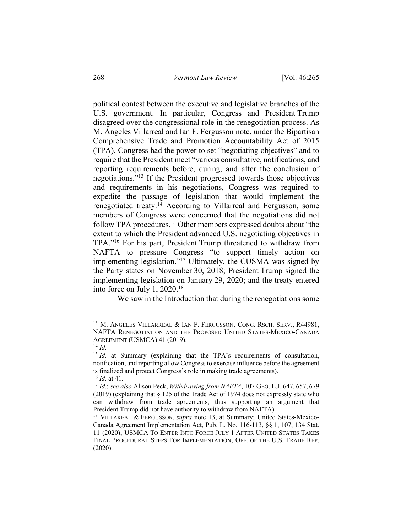political contest between the executive and legislative branches of the U.S. government. In particular, Congress and President Trump disagreed over the congressional role in the renegotiation process. As M. Angeles Villarreal and Ian F. Fergusson note, under the Bipartisan Comprehensive Trade and Promotion Accountability Act of 2015 (TPA), Congress had the power to set "negotiating objectives" and to require that the President meet "various consultative, notifications, and reporting requirements before, during, and after the conclusion of negotiations."13 If the President progressed towards those objectives and requirements in his negotiations, Congress was required to expedite the passage of legislation that would implement the renegotiated treaty.14 According to Villarreal and Fergusson, some members of Congress were concerned that the negotiations did not follow TPA procedures.<sup>15</sup> Other members expressed doubts about "the extent to which the President advanced U.S. negotiating objectives in TPA."16 For his part, President Trump threatened to withdraw from NAFTA to pressure Congress "to support timely action on implementing legislation."17 Ultimately, the CUSMA was signed by the Party states on November 30, 2018; President Trump signed the implementing legislation on January 29, 2020; and the treaty entered into force on July 1, 2020.18

We saw in the Introduction that during the renegotiations some

<sup>&</sup>lt;sup>13</sup> M. ANGELES VILLARREAL & IAN F. FERGUSSON, CONG. RSCH. SERV., R44981, NAFTA RENEGOTIATION AND THE PROPOSED UNITED STATES-MEXICO-CANADA AGREEMENT (USMCA) 41 (2019). 14 *Id.*

<sup>&</sup>lt;sup>15</sup> *Id.* at Summary (explaining that the TPA's requirements of consultation, notification, and reporting allow Congress to exercise influence before the agreement is finalized and protect Congress's role in making trade agreements). <sup>16</sup> *Id.* at 41*.*

<sup>17</sup> *Id.*; *see also* Alison Peck, *Withdrawing from NAFTA*, 107 GEO. L.J. 647, 657, 679 (2019) (explaining that § 125 of the Trade Act of 1974 does not expressly state who can withdraw from trade agreements, thus supporting an argument that President Trump did not have authority to withdraw from NAFTA).

<sup>18</sup> VILLAREAL & FERGUSSON, *supra* note 13, at Summary; United States-Mexico-Canada Agreement Implementation Act, Pub. L. No. 116-113, §§ 1, 107, 134 Stat. 11 (2020); USMCA TO ENTER INTO FORCE JULY 1 AFTER UNITED STATES TAKES FINAL PROCEDURAL STEPS FOR IMPLEMENTATION, OFF. OF THE U.S. TRADE REP. (2020).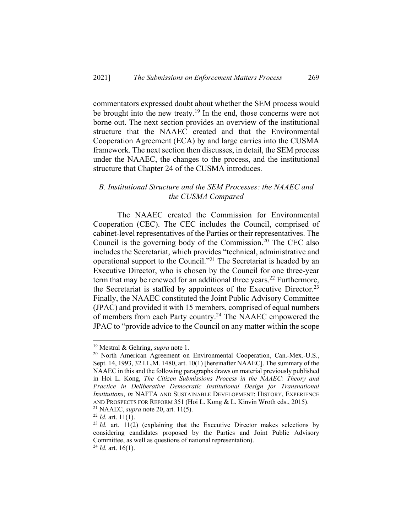commentators expressed doubt about whether the SEM process would be brought into the new treaty.<sup>19</sup> In the end, those concerns were not borne out. The next section provides an overview of the institutional structure that the NAAEC created and that the Environmental Cooperation Agreement (ECA) by and large carries into the CUSMA framework. The next section then discusses, in detail, the SEM process under the NAAEC, the changes to the process, and the institutional structure that Chapter 24 of the CUSMA introduces.

# *B. Institutional Structure and the SEM Processes: the NAAEC and the CUSMA Compared*

The NAAEC created the Commission for Environmental Cooperation (CEC). The CEC includes the Council, comprised of cabinet-level representatives of the Parties or their representatives. The Council is the governing body of the Commission.<sup>20</sup> The CEC also includes the Secretariat, which provides "technical, administrative and operational support to the Council."21 The Secretariat is headed by an Executive Director, who is chosen by the Council for one three-year term that may be renewed for an additional three years.<sup>22</sup> Furthermore, the Secretariat is staffed by appointees of the Executive Director.<sup>23</sup> Finally, the NAAEC constituted the Joint Public Advisory Committee (JPAC) and provided it with 15 members, comprised of equal numbers of members from each Party country.<sup>24</sup> The NAAEC empowered the JPAC to "provide advice to the Council on any matter within the scope

<sup>19</sup> Mestral & Gehring, *supra* note 1.

<sup>&</sup>lt;sup>20</sup> North American Agreement on Environmental Cooperation, Can.-Mex.-U.S., Sept. 14, 1993, 32 I.L.M. 1480, art. 10(1) [hereinafter NAAEC]. The summary of the NAAEC in this and the following paragraphs draws on material previously published in Hoi L. Kong, *The Citizen Submissions Process in the NAAEC: Theory and Practice in Deliberative Democratic Institutional Design for Transnational Institutions*, *in* NAFTA AND SUSTAINABLE DEVELOPMENT: HISTORY, EXPERIENCE AND PROSPECTS FOR REFORM 351 (Hoi L. Kong & L. Kinvin Wroth eds., 2015). <sup>21</sup> NAAEC, *supra* note 20, art. 11(5).

 $^{22}$  *Id.* art. 11(1).

 $23$  *Id.* art. 11(2) (explaining that the Executive Director makes selections by considering candidates proposed by the Parties and Joint Public Advisory Committee, as well as questions of national representation).

 $^{24}$  *Id.* art. 16(1).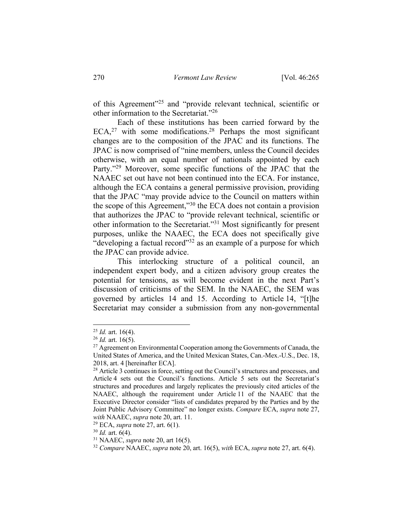of this Agreement"25 and "provide relevant technical, scientific or other information to the Secretariat."26

Each of these institutions has been carried forward by the  $ECA<sub>1</sub><sup>27</sup>$  with some modifications.<sup>28</sup> Perhaps the most significant changes are to the composition of the JPAC and its functions. The JPAC is now comprised of "nine members, unless the Council decides otherwise, with an equal number of nationals appointed by each Party."<sup>29</sup> Moreover, some specific functions of the JPAC that the NAAEC set out have not been continued into the ECA. For instance, although the ECA contains a general permissive provision, providing that the JPAC "may provide advice to the Council on matters within the scope of this Agreement,"30 the ECA does not contain a provision that authorizes the JPAC to "provide relevant technical, scientific or other information to the Secretariat."31 Most significantly for present purposes, unlike the NAAEC, the ECA does not specifically give "developing a factual record"<sup>32</sup> as an example of a purpose for which the JPAC can provide advice.

This interlocking structure of a political council, an independent expert body, and a citizen advisory group creates the potential for tensions, as will become evident in the next Part's discussion of criticisms of the SEM. In the NAAEC, the SEM was governed by articles 14 and 15. According to Article 14, "[t]he Secretariat may consider a submission from any non-governmental

<sup>29</sup> ECA, *supra* note 27, art. 6(1).

<sup>30</sup> *Id.* art. 6(4).

<sup>25</sup> *Id.* art. 16(4).

 $^{26}$  *Id.* art. 16(5).

 $27$  Agreement on Environmental Cooperation among the Governments of Canada, the United States of America, and the United Mexican States, Can.-Mex.-U.S., Dec. 18, 2018, art. 4 [hereinafter ECA].

<sup>&</sup>lt;sup>28</sup> Article 3 continues in force, setting out the Council's structures and processes, and Article 4 sets out the Council's functions. Article 5 sets out the Secretariat's structures and procedures and largely replicates the previously cited articles of the NAAEC, although the requirement under Article 11 of the NAAEC that the Executive Director consider "lists of candidates prepared by the Parties and by the Joint Public Advisory Committee" no longer exists. *Compare* ECA, *supra* note 27, *with* NAAEC, *supra* note 20, art. 11.

<sup>31</sup> NAAEC, *supra* note 20, art 16(5).

<sup>32</sup> *Compare* NAAEC, *supra* note 20, art. 16(5), *with* ECA, *supra* note 27, art. 6(4).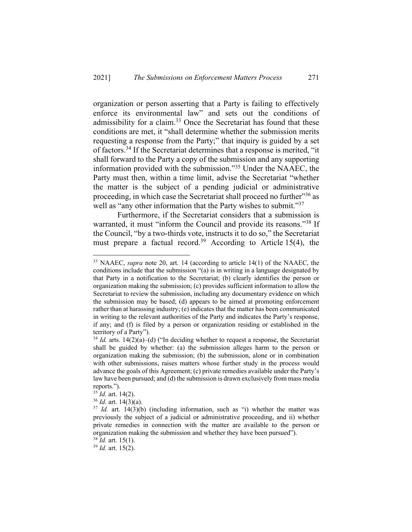organization or person asserting that a Party is failing to effectively enforce its environmental law" and sets out the conditions of admissibility for a claim. $33$  Once the Secretariat has found that these conditions are met, it "shall determine whether the submission merits requesting a response from the Party;" that inquiry is guided by a set of factors.34 If the Secretariat determines that a response is merited, "it shall forward to the Party a copy of the submission and any supporting information provided with the submission."35 Under the NAAEC, the Party must then, within a time limit, advise the Secretariat "whether the matter is the subject of a pending judicial or administrative proceeding, in which case the Secretariat shall proceed no further<sup>356</sup> as well as "any other information that the Party wishes to submit."<sup>37</sup>

Furthermore, if the Secretariat considers that a submission is warranted, it must "inform the Council and provide its reasons."<sup>38</sup> If the Council, "by a two-thirds vote, instructs it to do so," the Secretariat must prepare a factual record.<sup>39</sup> According to Article 15(4), the

<sup>33</sup> NAAEC, *supra* note 20, art. 14 (according to article 14(1) of the NAAEC, the conditions include that the submission "(a) is in writing in a language designated by that Party in a notification to the Secretariat; (b) clearly identifies the person or organization making the submission; (c) provides sufficient information to allow the Secretariat to review the submission, including any documentary evidence on which the submission may be based; (d) appears to be aimed at promoting enforcement rather than at harassing industry; (e) indicates that the matter has been communicated in writing to the relevant authorities of the Party and indicates the Party's response, if any; and (f) is filed by a person or organization residing or established in the territory of a Party").

 $34$  *Id.* arts. 14(2)(a)–(d) ("In deciding whether to request a response, the Secretariat shall be guided by whether: (a) the submission alleges harm to the person or organization making the submission; (b) the submission, alone or in combination with other submissions, raises matters whose further study in the process would advance the goals of this Agreement; (c) private remedies available under the Party's law have been pursued; and (d) the submission is drawn exclusively from mass media reports.").

<sup>35</sup> *Id.* art. 14(2).

<sup>36</sup> *Id.* art. 14(3)(a).

<sup>&</sup>lt;sup>37</sup> *Id.* art. 14(3)(b) (including information, such as "i) whether the matter was previously the subject of a judicial or administrative proceeding, and ii) whether private remedies in connection with the matter are available to the person or organization making the submission and whether they have been pursued").

<sup>38</sup> *Id.* art. 15(1).

<sup>39</sup> *Id.* art. 15(2).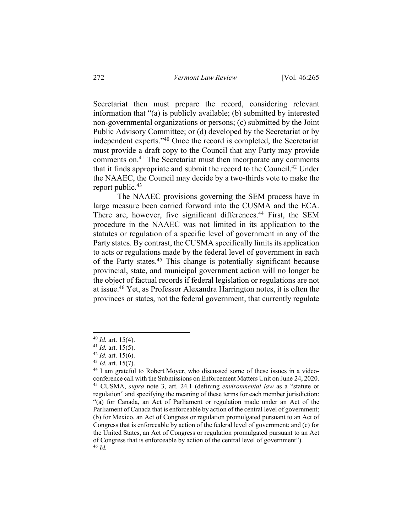Secretariat then must prepare the record, considering relevant information that "(a) is publicly available; (b) submitted by interested non-governmental organizations or persons; (c) submitted by the Joint Public Advisory Committee; or (d) developed by the Secretariat or by independent experts."40 Once the record is completed, the Secretariat must provide a draft copy to the Council that any Party may provide comments on.41 The Secretariat must then incorporate any comments that it finds appropriate and submit the record to the Council.42 Under the NAAEC, the Council may decide by a two-thirds vote to make the report public.<sup>43</sup>

The NAAEC provisions governing the SEM process have in large measure been carried forward into the CUSMA and the ECA. There are, however, five significant differences.<sup>44</sup> First, the SEM procedure in the NAAEC was not limited in its application to the statutes or regulation of a specific level of government in any of the Party states. By contrast, the CUSMA specifically limits its application to acts or regulations made by the federal level of government in each of the Party states.<sup>45</sup> This change is potentially significant because provincial, state, and municipal government action will no longer be the object of factual records if federal legislation or regulations are not at issue.46 Yet, as Professor Alexandra Harrington notes, it is often the provinces or states, not the federal government, that currently regulate

<sup>40</sup> *Id.* art. 15(4).

<sup>41</sup> *Id.* art. 15(5).

<sup>42</sup> *Id.* art. 15(6).

<sup>43</sup> *Id.* art. 15(7).

<sup>44</sup> I am grateful to Robert Moyer, who discussed some of these issues in a videoconference call with the Submissions on Enforcement Matters Unit on June 24, 2020. <sup>45</sup> CUSMA, *supra* note 3, art. 24.1 (defining *environmental law* as a "statute or regulation" and specifying the meaning of these terms for each member jurisdiction: "(a) for Canada, an Act of Parliament or regulation made under an Act of the Parliament of Canada that is enforceable by action of the central level of government; (b) for Mexico, an Act of Congress or regulation promulgated pursuant to an Act of Congress that is enforceable by action of the federal level of government; and (c) for the United States, an Act of Congress or regulation promulgated pursuant to an Act of Congress that is enforceable by action of the central level of government"). <sup>46</sup> *Id.*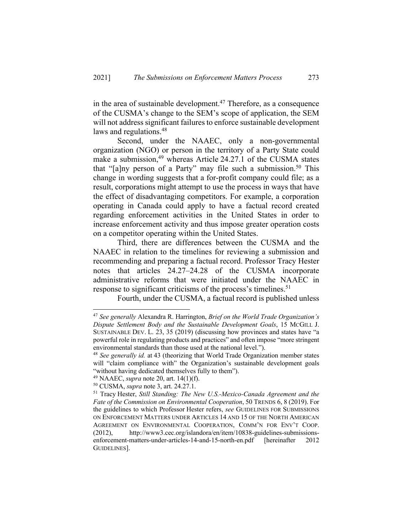in the area of sustainable development.<sup>47</sup> Therefore, as a consequence of the CUSMA's change to the SEM's scope of application, the SEM will not address significant failures to enforce sustainable development laws and regulations.<sup>48</sup>

Second, under the NAAEC, only a non-governmental organization (NGO) or person in the territory of a Party State could make a submission,<sup>49</sup> whereas Article 24.27.1 of the CUSMA states that "[a]ny person of a Party" may file such a submission.<sup>50</sup> This change in wording suggests that a for-profit company could file; as a result, corporations might attempt to use the process in ways that have the effect of disadvantaging competitors. For example, a corporation operating in Canada could apply to have a factual record created regarding enforcement activities in the United States in order to increase enforcement activity and thus impose greater operation costs on a competitor operating within the United States.

Third, there are differences between the CUSMA and the NAAEC in relation to the timelines for reviewing a submission and recommending and preparing a factual record. Professor Tracy Hester notes that articles 24.27–24.28 of the CUSMA incorporate administrative reforms that were initiated under the NAAEC in response to significant criticisms of the process's timelines.<sup>51</sup>

Fourth, under the CUSMA, a factual record is published unless

- <sup>49</sup> NAAEC, *supra* note 20, art. 14(1)(f).
- <sup>50</sup> CUSMA, *supra* note 3, art. 24.27.1.

<sup>47</sup> *See generally* Alexandra R. Harrington, *Brief on the World Trade Organization's Dispute Settlement Body and the Sustainable Development Goals*, 15 MCGILL J. SUSTAINABLE DEV. L. 23, 35 (2019) (discussing how provinces and states have "a powerful role in regulating products and practices" and often impose "more stringent environmental standards than those used at the national level.").

<sup>48</sup> *See generally id.* at 43 (theorizing that World Trade Organization member states will "claim compliance with" the Organization's sustainable development goals "without having dedicated themselves fully to them").

<sup>51</sup> Tracy Hester, *Still Standing: The New U.S.-Mexico-Canada Agreement and the Fate of the Commission on Environmental Cooperation*, 50 TRENDS 6, 8 (2019). For the guidelines to which Professor Hester refers, *see* GUIDELINES FOR SUBMISSIONS ON ENFORCEMENT MATTERS UNDER ARTICLES 14 AND 15 OF THE NORTH AMERICAN AGREEMENT ON ENVIRONMENTAL COOPERATION, COMM'N FOR ENV'T COOP. (2012), http://www3.cec.org/islandora/en/item/10838-guidelines-submissionsenforcement-matters-under-articles-14-and-15-north-en.pdf [hereinafter 2012 GUIDELINES].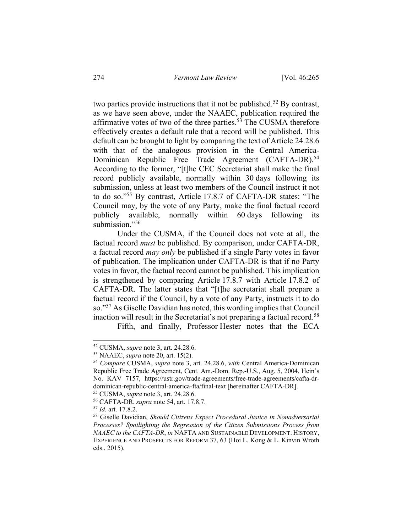two parties provide instructions that it not be published.<sup>52</sup> By contrast, as we have seen above, under the NAAEC, publication required the affirmative votes of two of the three parties.<sup>53</sup> The CUSMA therefore effectively creates a default rule that a record will be published. This default can be brought to light by comparing the text of Article 24.28.6 with that of the analogous provision in the Central America-Dominican Republic Free Trade Agreement (CAFTA-DR).<sup>54</sup> According to the former, "[t]he CEC Secretariat shall make the final record publicly available, normally within 30 days following its submission, unless at least two members of the Council instruct it not to do so."55 By contrast, Article 17.8.7 of CAFTA-DR states: "The Council may, by the vote of any Party, make the final factual record publicly available, normally within 60 days following its submission."<sup>56</sup>

Under the CUSMA, if the Council does not vote at all, the factual record *must* be published. By comparison, under CAFTA-DR, a factual record *may only* be published if a single Party votes in favor of publication. The implication under CAFTA-DR is that if no Party votes in favor, the factual record cannot be published. This implication is strengthened by comparing Article 17.8.7 with Article 17.8.2 of CAFTA-DR. The latter states that "[t]he secretariat shall prepare a factual record if the Council, by a vote of any Party, instructs it to do so."57 As Giselle Davidian has noted, this wording implies that Council inaction will result in the Secretariat's not preparing a factual record.<sup>58</sup>

Fifth, and finally, Professor Hester notes that the ECA

<sup>52</sup> CUSMA, *supra* note 3, art. 24.28.6.

<sup>53</sup> NAAEC, *supra* note 20, art. 15(2).

<sup>54</sup> *Compare* CUSMA, *supra* note 3, art. 24.28.6, *with* Central America-Dominican Republic Free Trade Agreement, Cent. Am.-Dom. Rep.-U.S., Aug. 5, 2004, Hein's No. KAV 7157, https://ustr.gov/trade-agreements/free-trade-agreements/cafta-drdominican-republic-central-america-fta/final-text [hereinafter CAFTA-DR].

<sup>55</sup> CUSMA, *supra* note 3, art. 24.28.6.

<sup>56</sup> CAFTA-DR, *supra* note 54, art. 17.8.7.

<sup>57</sup> *Id.* art. 17.8.2.

<sup>58</sup> Giselle Davidian, *Should Citizens Expect Procedural Justice in Nonadversarial Processes? Spotlighting the Regression of the Citizen Submissions Process from NAAEC to the CAFTA-DR*, *in* NAFTA AND SUSTAINABLE DEVELOPMENT: HISTORY, EXPERIENCE AND PROSPECTS FOR REFORM 37, 63 (Hoi L. Kong & L. Kinvin Wroth eds., 2015).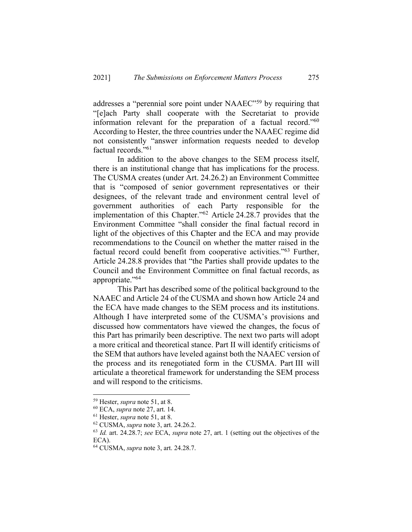addresses a "perennial sore point under NAAEC"59 by requiring that "[e]ach Party shall cooperate with the Secretariat to provide information relevant for the preparation of a factual record."60 According to Hester, the three countries under the NAAEC regime did not consistently "answer information requests needed to develop factual records."61

In addition to the above changes to the SEM process itself, there is an institutional change that has implications for the process. The CUSMA creates (under Art. 24.26.2) an Environment Committee that is "composed of senior government representatives or their designees, of the relevant trade and environment central level of government authorities of each Party responsible for the implementation of this Chapter."62 Article 24.28.7 provides that the Environment Committee "shall consider the final factual record in light of the objectives of this Chapter and the ECA and may provide recommendations to the Council on whether the matter raised in the factual record could benefit from cooperative activities."<sup>63</sup> Further, Article 24.28.8 provides that "the Parties shall provide updates to the Council and the Environment Committee on final factual records, as appropriate."64

This Part has described some of the political background to the NAAEC and Article 24 of the CUSMA and shown how Article 24 and the ECA have made changes to the SEM process and its institutions. Although I have interpreted some of the CUSMA's provisions and discussed how commentators have viewed the changes, the focus of this Part has primarily been descriptive. The next two parts will adopt a more critical and theoretical stance. Part II will identify criticisms of the SEM that authors have leveled against both the NAAEC version of the process and its renegotiated form in the CUSMA. Part III will articulate a theoretical framework for understanding the SEM process and will respond to the criticisms.

<sup>59</sup> Hester, *supra* note 51, at 8.

<sup>60</sup> ECA, *supra* note 27, art. 14.

<sup>61</sup> Hester, *supra* note 51, at 8.

<sup>62</sup> CUSMA, *supra* note 3, art. 24.26.2.

<sup>63</sup> *Id.* art. 24.28.7; *see* ECA, *supra* note 27, art. 1 (setting out the objectives of the ECA).

<sup>64</sup> CUSMA, *supra* note 3, art. 24.28.7.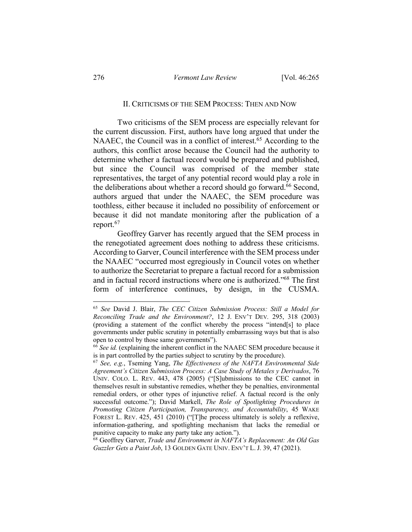### II. CRITICISMS OF THE SEM PROCESS: THEN AND NOW

Two criticisms of the SEM process are especially relevant for the current discussion. First, authors have long argued that under the NAAEC, the Council was in a conflict of interest.<sup>65</sup> According to the authors, this conflict arose because the Council had the authority to determine whether a factual record would be prepared and published, but since the Council was comprised of the member state representatives, the target of any potential record would play a role in the deliberations about whether a record should go forward.<sup>66</sup> Second, authors argued that under the NAAEC, the SEM procedure was toothless, either because it included no possibility of enforcement or because it did not mandate monitoring after the publication of a report.<sup>67</sup>

Geoffrey Garver has recently argued that the SEM process in the renegotiated agreement does nothing to address these criticisms. According to Garver, Council interference with the SEM process under the NAAEC "occurred most egregiously in Council votes on whether to authorize the Secretariat to prepare a factual record for a submission and in factual record instructions where one is authorized."68 The first form of interference continues, by design, in the CUSMA.

<sup>65</sup> *See* David J. Blair, *The CEC Citizen Submission Process: Still a Model for Reconciling Trade and the Environment?*, 12 J. ENV'T DEV*.* 295, 318 (2003) (providing a statement of the conflict whereby the process "intend[s] to place governments under public scrutiny in potentially embarrassing ways but that is also open to control by those same governments").

<sup>66</sup> *See id.* (explaining the inherent conflict in the NAAEC SEM procedure because it is in part controlled by the parties subject to scrutiny by the procedure).

<sup>67</sup> *See, e.g.*, Tseming Yang, *The Effectiveness of the NAFTA Environmental Side Agreement's Citizen Submission Process: A Case Study of Metales y Derivados*, 76 UNIV. COLO. L. REV. 443, 478 (2005) ("[S]ubmissions to the CEC cannot in themselves result in substantive remedies, whether they be penalties, environmental remedial orders, or other types of injunctive relief. A factual record is the only successful outcome."); David Markell, *The Role of Spotlighting Procedures in Promoting Citizen Participation, Transparency, and Accountability*, 45 WAKE FOREST L. REV. 425, 451 (2010) ("[T]he process ultimately is solely a reflexive, information-gathering, and spotlighting mechanism that lacks the remedial or punitive capacity to make any party take any action.").

<sup>68</sup> Geoffrey Garver, *Trade and Environment in NAFTA's Replacement: An Old Gas Guzzler Gets a Paint Job*, 13 GOLDEN GATE UNIV. ENV'T L. J. 39, 47 (2021).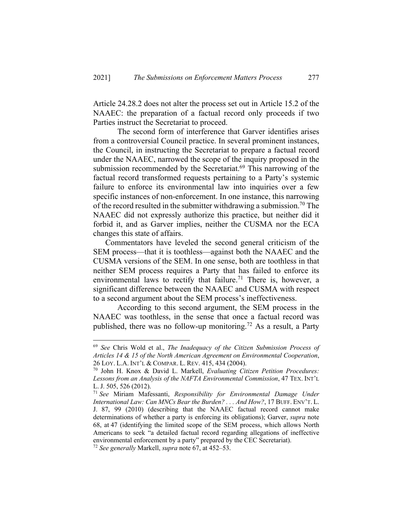Article 24.28.2 does not alter the process set out in Article 15.2 of the NAAEC: the preparation of a factual record only proceeds if two Parties instruct the Secretariat to proceed.

The second form of interference that Garver identifies arises from a controversial Council practice. In several prominent instances, the Council, in instructing the Secretariat to prepare a factual record under the NAAEC, narrowed the scope of the inquiry proposed in the submission recommended by the Secretariat.<sup>69</sup> This narrowing of the factual record transformed requests pertaining to a Party's systemic failure to enforce its environmental law into inquiries over a few specific instances of non-enforcement. In one instance, this narrowing of the record resulted in the submitter withdrawing a submission.<sup>70</sup> The NAAEC did not expressly authorize this practice, but neither did it forbid it, and as Garver implies, neither the CUSMA nor the ECA changes this state of affairs.

Commentators have leveled the second general criticism of the SEM process—that it is toothless—against both the NAAEC and the CUSMA versions of the SEM. In one sense, both are toothless in that neither SEM process requires a Party that has failed to enforce its environmental laws to rectify that failure.<sup>71</sup> There is, however, a significant difference between the NAAEC and CUSMA with respect to a second argument about the SEM process's ineffectiveness.

According to this second argument, the SEM process in the NAAEC was toothless, in the sense that once a factual record was published, there was no follow-up monitoring.<sup>72</sup> As a result, a Party

<sup>69</sup> *See* Chris Wold et al., *The Inadequacy of the Citizen Submission Process of Articles 14 & 15 of the North American Agreement on Environmental Cooperation*, 26 LOY. L.A. INT'L & COMPAR. L. REV. 415, 434 (2004).

<sup>70</sup> John H. Knox & David L. Markell, *Evaluating Citizen Petition Procedures: Lessons from an Analysis of the NAFTA Environmental Commission*, 47 TEX. INT'L L. J. 505, 526 (2012).

<sup>71</sup> *See* Miriam Mafessanti, *Responsibility for Environmental Damage Under International Law: Can MNCs Bear the Burden? . . . And How?*, 17 BUFF. ENV'T. L. J. 87, 99 (2010) (describing that the NAAEC factual record cannot make determinations of whether a party is enforcing its obligations); Garver, *supra* note 68, at 47 (identifying the limited scope of the SEM process, which allows North Americans to seek "a detailed factual record regarding allegations of ineffective environmental enforcement by a party" prepared by the CEC Secretariat).

<sup>72</sup> *See generally* Markell, *supra* note 67, at 452–53.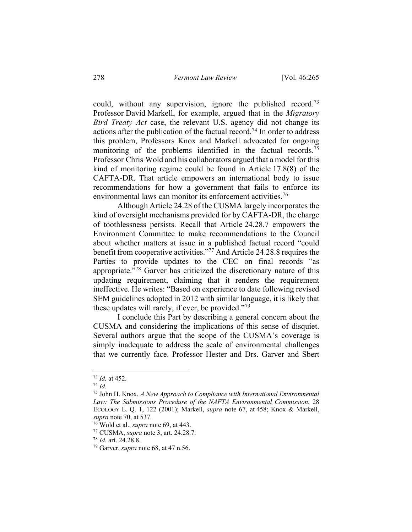could, without any supervision, ignore the published record.<sup>73</sup> Professor David Markell, for example, argued that in the *Migratory Bird Treaty Act* case, the relevant U.S. agency did not change its actions after the publication of the factual record.<sup>74</sup> In order to address this problem, Professors Knox and Markell advocated for ongoing monitoring of the problems identified in the factual records.<sup>75</sup> Professor Chris Wold and his collaborators argued that a model for this kind of monitoring regime could be found in Article 17.8(8) of the CAFTA-DR. That article empowers an international body to issue recommendations for how a government that fails to enforce its environmental laws can monitor its enforcement activities.<sup>76</sup>

Although Article 24.28 of the CUSMA largely incorporates the kind of oversight mechanisms provided for by CAFTA-DR, the charge of toothlessness persists. Recall that Article 24.28.7 empowers the Environment Committee to make recommendations to the Council about whether matters at issue in a published factual record "could benefit from cooperative activities."77 And Article 24.28.8 requires the Parties to provide updates to the CEC on final records "as appropriate."78 Garver has criticized the discretionary nature of this updating requirement, claiming that it renders the requirement ineffective. He writes: "Based on experience to date following revised SEM guidelines adopted in 2012 with similar language, it is likely that these updates will rarely, if ever, be provided."<sup>79</sup>

I conclude this Part by describing a general concern about the CUSMA and considering the implications of this sense of disquiet. Several authors argue that the scope of the CUSMA's coverage is simply inadequate to address the scale of environmental challenges that we currently face. Professor Hester and Drs. Garver and Sbert

<sup>73</sup> *Id.* at 452.

<sup>74</sup> *Id.*

<sup>75</sup> John H. Knox, *A New Approach to Compliance with International Environmental Law: The Submissions Procedure of the NAFTA Environmental Commission*, 28 ECOLOGY L. Q. 1, 122 (2001); Markell, *supra* note 67, at 458; Knox & Markell, *supra* note 70, at 537.

<sup>76</sup> Wold et al., *supra* note 69, at 443.

<sup>77</sup> CUSMA, *supra* note 3, art. 24.28.7.

<sup>78</sup> *Id.* art. 24.28.8.

<sup>79</sup> Garver, *supra* note 68, at 47 n.56.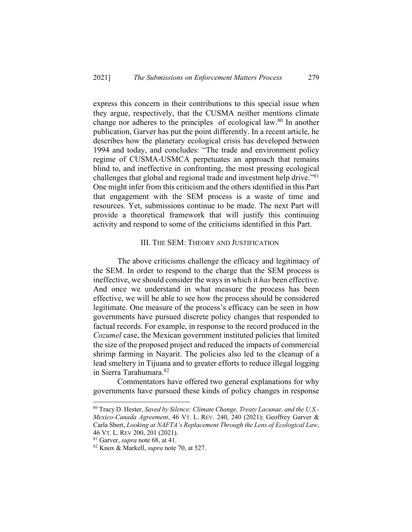express this concern in their contributions to this special issue when they argue, respectively, that the CUSMA neither mentions climate change nor adheres to the principles of ecological law.<sup>80</sup> In another publication, Garver has put the point differently. In a recent article, he describes how the planetary ecological crisis has developed between 1994 and today, and concludes: "The trade and environment policy regime of CUSMA-USMCA perpetuates an approach that remains blind to, and ineffective in confronting, the most pressing ecological challenges that global and regional trade and investment help drive."81 One might infer from this criticism and the others identified in this Part that engagement with the SEM process is a waste of time and resources. Yet, submissions continue to be made. The next Part will provide a theoretical framework that will justify this continuing activity and respond to some of the criticisms identified in this Part.

#### III. THE SEM: THEORY AND JUSTIFICATION

The above criticisms challenge the efficacy and legitimacy of the SEM. In order to respond to the charge that the SEM process is ineffective, we should consider the ways in which it *has* been effective. And once we understand in what measure the process has been effective, we will be able to see how the process should be considered legitimate. One measure of the process's efficacy can be seen in how governments have pursued discrete policy changes that responded to factual records. For example, in response to the record produced in the *Cozumel* case, the Mexican government instituted policies that limited the size of the proposed project and reduced the impacts of commercial shrimp farming in Nayarit. The policies also led to the cleanup of a lead smeltery in Tijuana and to greater efforts to reduce illegal logging in Sierra Tarahumara.82

Commentators have offered two general explanations for why governments have pursued these kinds of policy changes in response

<sup>80</sup> Tracy D. Hester, *Saved by Silence: Climate Change, Treaty Lacunae, and the U.S.- Mexico-Canada Agreement*, 46 VT. L. REV. 240, 240 (2021); Geoffrey Garver & Carla Sbert, *Looking at NAFTA's Replacement Through the Lens of Ecological Law*, 46 VT. L. REV 200, 201 (2021). 81 Garver, *supra* note 68, at 41.

<sup>82</sup> Knox & Markell, *supra* note 70, at 527.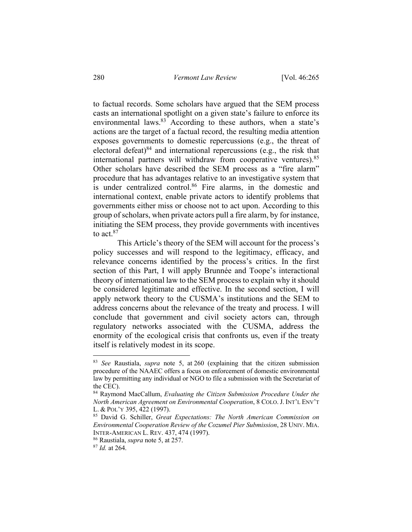to factual records. Some scholars have argued that the SEM process casts an international spotlight on a given state's failure to enforce its environmental laws.<sup>83</sup> According to these authors, when a state's actions are the target of a factual record, the resulting media attention exposes governments to domestic repercussions (e.g., the threat of electoral defeat) $84$  and international repercussions (e.g., the risk that international partners will withdraw from cooperative ventures).85 Other scholars have described the SEM process as a "fire alarm" procedure that has advantages relative to an investigative system that is under centralized control.<sup>86</sup> Fire alarms, in the domestic and international context, enable private actors to identify problems that governments either miss or choose not to act upon. According to this group of scholars, when private actors pull a fire alarm, by for instance, initiating the SEM process, they provide governments with incentives to  $act.<sup>87</sup>$ 

This Article's theory of the SEM will account for the process's policy successes and will respond to the legitimacy, efficacy, and relevance concerns identified by the process's critics. In the first section of this Part, I will apply Brunnée and Toope's interactional theory of international law to the SEM process to explain why it should be considered legitimate and effective. In the second section, I will apply network theory to the CUSMA's institutions and the SEM to address concerns about the relevance of the treaty and process. I will conclude that government and civil society actors can, through regulatory networks associated with the CUSMA, address the enormity of the ecological crisis that confronts us, even if the treaty itself is relatively modest in its scope.

<sup>83</sup> *See* Raustiala, *supra* note 5, at 260 (explaining that the citizen submission procedure of the NAAEC offers a focus on enforcement of domestic environmental law by permitting any individual or NGO to file a submission with the Secretariat of the CEC).

<sup>84</sup> Raymond MacCallum, *Evaluating the Citizen Submission Procedure Under the North American Agreement on Environmental Cooperation*, 8 COLO.J. INT'L ENV'T L. & POL'Y 395, 422 (1997).

<sup>85</sup> David G. Schiller, *Great Expectations: The North American Commission on Environmental Cooperation Review of the Cozumel Pier Submission*, 28 UNIV. MIA. INTER-AMERICAN L. REV. 437, 474 (1997).

<sup>86</sup> Raustiala, *supra* note 5, at 257.

<sup>87</sup> *Id.* at 264.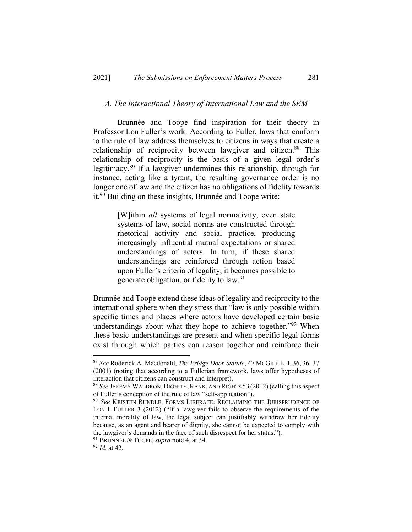### *A. The Interactional Theory of International Law and the SEM*

Brunnée and Toope find inspiration for their theory in Professor Lon Fuller's work. According to Fuller, laws that conform to the rule of law address themselves to citizens in ways that create a relationship of reciprocity between lawgiver and citizen.<sup>88</sup> This relationship of reciprocity is the basis of a given legal order's legitimacy.89 If a lawgiver undermines this relationship, through for instance, acting like a tyrant, the resulting governance order is no longer one of law and the citizen has no obligations of fidelity towards it.90 Building on these insights, Brunnée and Toope write:

> [W]ithin *all* systems of legal normativity, even state systems of law, social norms are constructed through rhetorical activity and social practice, producing increasingly influential mutual expectations or shared understandings of actors. In turn, if these shared understandings are reinforced through action based upon Fuller's criteria of legality, it becomes possible to generate obligation, or fidelity to law.91

Brunnée and Toope extend these ideas of legality and reciprocity to the international sphere when they stress that "law is only possible within specific times and places where actors have developed certain basic understandings about what they hope to achieve together."<sup>92</sup> When these basic understandings are present and when specific legal forms exist through which parties can reason together and reinforce their

<sup>91</sup> BRUNNÉE & TOOPE, *supra* note 4, at 34.

<sup>88</sup> *See* Roderick A. Macdonald, *The Fridge Door Statute*, 47 MCGILL L.J. 36, 36–37 (2001) (noting that according to a Fullerian framework, laws offer hypotheses of interaction that citizens can construct and interpret).

<sup>89</sup> *See* JEREMY WALDRON, DIGNITY,RANK, AND RIGHTS 53 (2012) (calling this aspect of Fuller's conception of the rule of law "self-application"). 90 *See* KRISTEN RUNDLE, FORMS LIBERATE: RECLAIMING THE JURISPRUDENCE OF

LON L FULLER 3 (2012) ("If a lawgiver fails to observe the requirements of the internal morality of law, the legal subject can justifiably withdraw her fidelity because, as an agent and bearer of dignity, she cannot be expected to comply with the lawgiver's demands in the face of such disrespect for her status.").

<sup>92</sup> *Id.* at 42.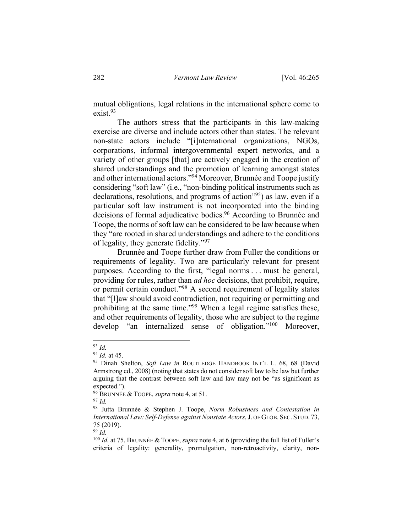mutual obligations, legal relations in the international sphere come to exist.93

The authors stress that the participants in this law-making exercise are diverse and include actors other than states. The relevant non-state actors include "[i]nternational organizations, NGOs, corporations, informal intergovernmental expert networks, and a variety of other groups [that] are actively engaged in the creation of shared understandings and the promotion of learning amongst states and other international actors."<sup>94</sup> Moreover, Brunnée and Toope justify considering "soft law" (i.e., "non-binding political instruments such as declarations, resolutions, and programs of action<sup>195</sup>) as law, even if a particular soft law instrument is not incorporated into the binding decisions of formal adjudicative bodies.<sup>96</sup> According to Brunnée and Toope, the norms of soft law can be considered to be law because when they "are rooted in shared understandings and adhere to the conditions of legality, they generate fidelity."<sup>97</sup>

Brunnée and Toope further draw from Fuller the conditions or requirements of legality. Two are particularly relevant for present purposes. According to the first, "legal norms . . . must be general, providing for rules, rather than *ad hoc* decisions, that prohibit, require, or permit certain conduct."<sup>98</sup> A second requirement of legality states that "[l]aw should avoid contradiction, not requiring or permitting and prohibiting at the same time."<sup>99</sup> When a legal regime satisfies these, and other requirements of legality, those who are subject to the regime develop "an internalized sense of obligation."100 Moreover,

<sup>99</sup> *Id.*

<sup>93</sup> *Id.*

<sup>94</sup> *Id.* at 45.

<sup>95</sup> Dinah Shelton, *Soft Law in* ROUTLEDGE HANDBOOK INT'L L. 68, 68 (David Armstrong ed., 2008) (noting that states do not consider soft law to be law but further arguing that the contrast between soft law and law may not be "as significant as expected.").

<sup>96</sup> BRUNNÉE & TOOPE, *supra* note 4, at 51.

<sup>97</sup> *Id.*

<sup>98</sup> Jutta Brunnée & Stephen J. Toope, *Norm Robustness and Contestation in International Law: Self-Defense against Nonstate Actors*, J. OF GLOB. SEC. STUD. 73, 75 (2019).

<sup>100</sup> *Id.* at 75. BRUNNÉE & TOOPE, *supra* note 4, at 6 (providing the full list of Fuller's criteria of legality: generality, promulgation, non-retroactivity, clarity, non-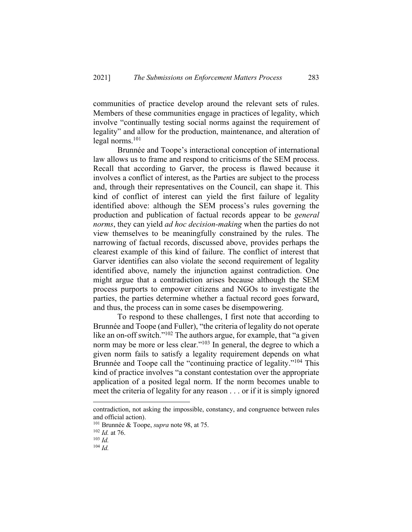communities of practice develop around the relevant sets of rules. Members of these communities engage in practices of legality, which involve "continually testing social norms against the requirement of legality" and allow for the production, maintenance, and alteration of legal norms. $101$ 

Brunnée and Toope's interactional conception of international law allows us to frame and respond to criticisms of the SEM process. Recall that according to Garver, the process is flawed because it involves a conflict of interest, as the Parties are subject to the process and, through their representatives on the Council, can shape it. This kind of conflict of interest can yield the first failure of legality identified above: although the SEM process's rules governing the production and publication of factual records appear to be *general norms*, they can yield *ad hoc decision-making* when the parties do not view themselves to be meaningfully constrained by the rules. The narrowing of factual records, discussed above, provides perhaps the clearest example of this kind of failure. The conflict of interest that Garver identifies can also violate the second requirement of legality identified above, namely the injunction against contradiction. One might argue that a contradiction arises because although the SEM process purports to empower citizens and NGOs to investigate the parties, the parties determine whether a factual record goes forward, and thus, the process can in some cases be disempowering.

To respond to these challenges, I first note that according to Brunnée and Toope (and Fuller), "the criteria of legality do not operate like an on-off switch."<sup>102</sup> The authors argue, for example, that "a given norm may be more or less clear."<sup>103</sup> In general, the degree to which a given norm fails to satisfy a legality requirement depends on what Brunnée and Toope call the "continuing practice of legality."<sup>104</sup> This kind of practice involves "a constant contestation over the appropriate application of a posited legal norm. If the norm becomes unable to meet the criteria of legality for any reason . . . or if it is simply ignored

contradiction, not asking the impossible, constancy, and congruence between rules and official action).

<sup>101</sup> Brunnée & Toope, *supra* note 98, at 75.

<sup>102</sup> *Id.* at 76.

<sup>103</sup> *Id.*

<sup>104</sup> *Id.*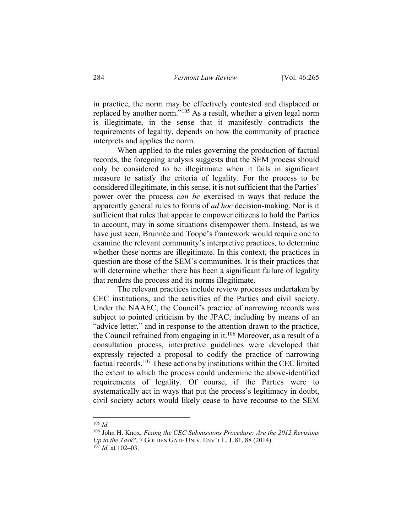in practice, the norm may be effectively contested and displaced or replaced by another norm."105 As a result, whether a given legal norm is illegitimate, in the sense that it manifestly contradicts the requirements of legality, depends on how the community of practice interprets and applies the norm.

When applied to the rules governing the production of factual records, the foregoing analysis suggests that the SEM process should only be considered to be illegitimate when it fails in significant measure to satisfy the criteria of legality. For the process to be considered illegitimate, in this sense, it is not sufficient that the Parties' power over the process *can be* exercised in ways that reduce the apparently general rules to forms of *ad hoc* decision-making. Nor is it sufficient that rules that appear to empower citizens to hold the Parties to account, may in some situations disempower them. Instead, as we have just seen, Brunnée and Toope's framework would require one to examine the relevant community's interpretive practices*,* to determine whether these norms are illegitimate. In this context, the practices in question are those of the SEM's communities. It is their practices that will determine whether there has been a significant failure of legality that renders the process and its norms illegitimate.

The relevant practices include review processes undertaken by CEC institutions, and the activities of the Parties and civil society. Under the NAAEC, the Council's practice of narrowing records was subject to pointed criticism by the JPAC, including by means of an "advice letter," and in response to the attention drawn to the practice, the Council refrained from engaging in it.<sup>106</sup> Moreover, as a result of a consultation process, interpretive guidelines were developed that expressly rejected a proposal to codify the practice of narrowing factual records.<sup>107</sup> These actions by institutions within the CEC limited the extent to which the process could undermine the above-identified requirements of legality. Of course, if the Parties were to systematically act in ways that put the process's legitimacy in doubt, civil society actors would likely cease to have recourse to the SEM

<sup>105</sup> *Id.*

<sup>106</sup> John H. Knox, *Fixing the CEC Submissions Procedure: Are the 2012 Revisions Up to the Task?*, 7 GOLDEN GATE UNIV. ENV'T L. J. 81, 88 (2014).

 $10^7$  *Id.* at 102–03.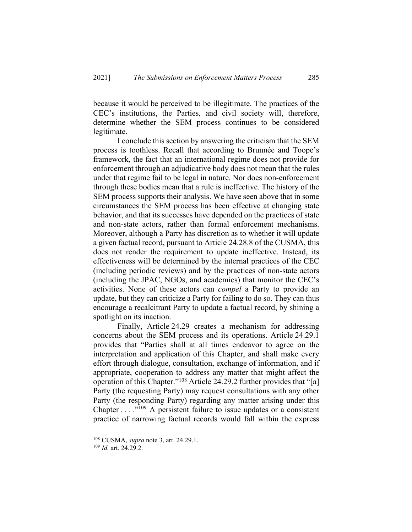because it would be perceived to be illegitimate. The practices of the CEC's institutions, the Parties, and civil society will, therefore, determine whether the SEM process continues to be considered legitimate.

I conclude this section by answering the criticism that the SEM process is toothless. Recall that according to Brunnée and Toope's framework, the fact that an international regime does not provide for enforcement through an adjudicative body does not mean that the rules under that regime fail to be legal in nature. Nor does non-enforcement through these bodies mean that a rule is ineffective. The history of the SEM process supports their analysis. We have seen above that in some circumstances the SEM process has been effective at changing state behavior, and that its successes have depended on the practices of state and non-state actors, rather than formal enforcement mechanisms. Moreover, although a Party has discretion as to whether it will update a given factual record, pursuant to Article 24.28.8 of the CUSMA, this does not render the requirement to update ineffective. Instead, its effectiveness will be determined by the internal practices of the CEC (including periodic reviews) and by the practices of non-state actors (including the JPAC, NGOs, and academics) that monitor the CEC's activities. None of these actors can *compel* a Party to provide an update, but they can criticize a Party for failing to do so. They can thus encourage a recalcitrant Party to update a factual record, by shining a spotlight on its inaction.

Finally, Article 24.29 creates a mechanism for addressing concerns about the SEM process and its operations. Article 24.29.1 provides that "Parties shall at all times endeavor to agree on the interpretation and application of this Chapter, and shall make every effort through dialogue, consultation, exchange of information, and if appropriate, cooperation to address any matter that might affect the operation of this Chapter."108 Article 24.29.2 further provides that "[a] Party (the requesting Party) may request consultations with any other Party (the responding Party) regarding any matter arising under this Chapter  $\dots$  ."<sup>109</sup> A persistent failure to issue updates or a consistent practice of narrowing factual records would fall within the express

<sup>108</sup> CUSMA, *supra* note 3, art. 24.29.1.

<sup>109</sup> *Id.* art. 24.29.2.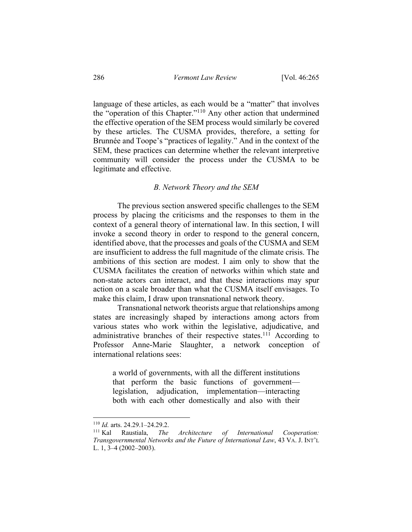language of these articles, as each would be a "matter" that involves the "operation of this Chapter."110 Any other action that undermined the effective operation of the SEM process would similarly be covered by these articles. The CUSMA provides, therefore, a setting for Brunnée and Toope's "practices of legality." And in the context of the SEM, these practices can determine whether the relevant interpretive community will consider the process under the CUSMA to be legitimate and effective.

### *B. Network Theory and the SEM*

The previous section answered specific challenges to the SEM process by placing the criticisms and the responses to them in the context of a general theory of international law. In this section, I will invoke a second theory in order to respond to the general concern, identified above, that the processes and goals of the CUSMA and SEM are insufficient to address the full magnitude of the climate crisis. The ambitions of this section are modest. I aim only to show that the CUSMA facilitates the creation of networks within which state and non-state actors can interact, and that these interactions may spur action on a scale broader than what the CUSMA itself envisages. To make this claim, I draw upon transnational network theory.

Transnational network theorists argue that relationships among states are increasingly shaped by interactions among actors from various states who work within the legislative, adjudicative, and administrative branches of their respective states.<sup>111</sup> According to Professor Anne-Marie Slaughter, a network conception of international relations sees:

a world of governments, with all the different institutions that perform the basic functions of government legislation, adjudication, implementation—interacting both with each other domestically and also with their

<sup>&</sup>lt;sup>110</sup> *Id.* arts. 24.29.1–24.29.2.<br><sup>111</sup> Kal Raustiala. *The* 

<sup>111</sup> Kal Raustiala, *The Architecture of International Cooperation: Transgovernmental Networks and the Future of International Law*, 43 VA. J. INT'L L. 1, 3–4 (2002–2003).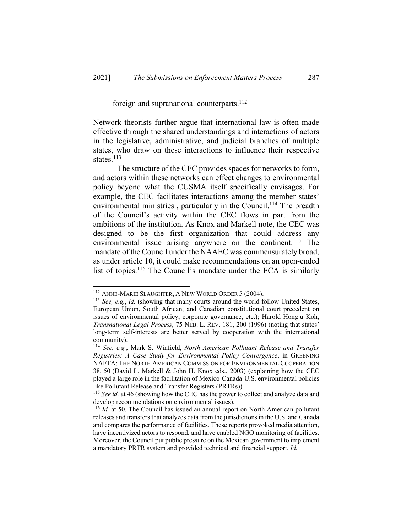## foreign and supranational counterparts.<sup>112</sup>

Network theorists further argue that international law is often made effective through the shared understandings and interactions of actors in the legislative, administrative, and judicial branches of multiple states, who draw on these interactions to influence their respective states.<sup>113</sup>

The structure of the CEC provides spaces for networks to form, and actors within these networks can effect changes to environmental policy beyond what the CUSMA itself specifically envisages. For example, the CEC facilitates interactions among the member states' environmental ministries, particularly in the Council.<sup>114</sup> The breadth of the Council's activity within the CEC flows in part from the ambitions of the institution. As Knox and Markell note, the CEC was designed to be the first organization that could address any environmental issue arising anywhere on the continent.<sup>115</sup> The mandate of the Council under the NAAEC was commensurately broad, as under article 10, it could make recommendations on an open-ended list of topics.<sup>116</sup> The Council's mandate under the ECA is similarly

<sup>112</sup> ANNE-MARIE SLAUGHTER, A NEW WORLD ORDER 5 (2004).

<sup>113</sup> *See, e.g.*, *id.* (showing that many courts around the world follow United States, European Union, South African, and Canadian constitutional court precedent on issues of environmental policy, corporate governance, etc.); Harold Hongju Koh, *Transnational Legal Process*, 75 NEB. L. REV. 181, 200 (1996) (noting that states' long-term self-interests are better served by cooperation with the international community).

<sup>114</sup> *See, e.g.*, Mark S. Winfield, *North American Pollutant Release and Transfer Registries: A Case Study for Environmental Policy Convergence*, in GREENING NAFTA: THE NORTH AMERICAN COMMISSION FOR ENVIRONMENTAL COOPERATION 38, 50 (David L. Markell & John H. Knox eds., 2003) (explaining how the CEC played a large role in the facilitation of Mexico-Canada-U.S. environmental policies like Pollutant Release and Transfer Registers (PRTRs)).

<sup>115</sup> *See id.* at 46 (showing how the CEC has the power to collect and analyze data and develop recommendations on environmental issues).

<sup>116</sup> *Id.* at 50. The Council has issued an annual report on North American pollutant releases and transfers that analyzes data from the jurisdictions in the U.S. and Canada and compares the performance of facilities. These reports provoked media attention, have incentivized actors to respond, and have enabled NGO monitoring of facilities. Moreover, the Council put public pressure on the Mexican government to implement a mandatory PRTR system and provided technical and financial support. *Id.*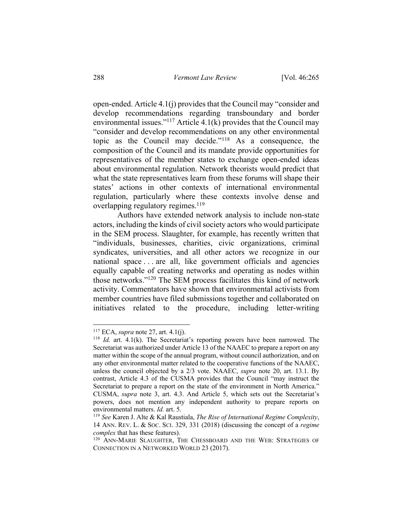open-ended. Article 4.1(j) provides that the Council may "consider and develop recommendations regarding transboundary and border environmental issues."<sup>117</sup> Article 4.1(k) provides that the Council may "consider and develop recommendations on any other environmental topic as the Council may decide."118 As a consequence, the composition of the Council and its mandate provide opportunities for representatives of the member states to exchange open-ended ideas about environmental regulation. Network theorists would predict that what the state representatives learn from these forums will shape their states' actions in other contexts of international environmental regulation, particularly where these contexts involve dense and overlapping regulatory regimes.<sup>119</sup>

Authors have extended network analysis to include non-state actors, including the kinds of civil society actors who would participate in the SEM process. Slaughter, for example, has recently written that "individuals, businesses, charities, civic organizations, criminal syndicates, universities, and all other actors we recognize in our national space . . . are all, like government officials and agencies equally capable of creating networks and operating as nodes within those networks."120 The SEM process facilitates this kind of network activity. Commentators have shown that environmental activists from member countries have filed submissions together and collaborated on initiatives related to the procedure, including letter-writing

<sup>117</sup> ECA, *supra* note 27, art. 4.1(j).

<sup>118</sup> *Id.* art. 4.1(k). The Secretariat's reporting powers have been narrowed. The Secretariat was authorized under Article 13 of the NAAEC to prepare a report on any matter within the scope of the annual program, without council authorization, and on any other environmental matter related to the cooperative functions of the NAAEC, unless the council objected by a 2/3 vote. NAAEC, *supra* note 20, art. 13.1. By contrast, Article 4.3 of the CUSMA provides that the Council "may instruct the Secretariat to prepare a report on the state of the environment in North America." CUSMA, *supra* note 3, art. 4.3. And Article 5, which sets out the Secretariat's powers, does not mention any independent authority to prepare reports on environmental matters. *Id.* art. 5.

<sup>119</sup> *See* Karen J. Alte & Kal Raustiala, *The Rise of International Regime Complexity*, 14 ANN. REV. L. & SOC. SCI. 329, 331 (2018) (discussing the concept of a *regime complex* that has these features).

<sup>&</sup>lt;sup>120</sup> ANN-MARIE SLAUGHTER, THE CHESSBOARD AND THE WEB: STRATEGIES OF CONNECTION IN A NETWORKED WORLD 23 (2017).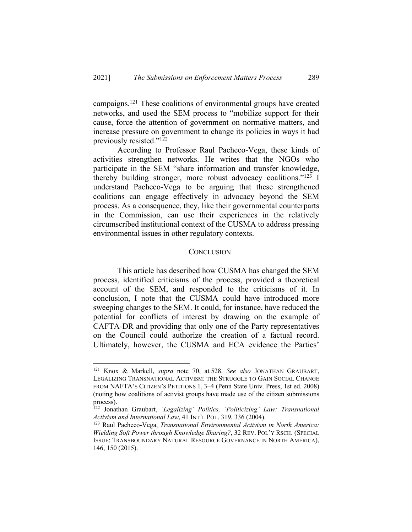campaigns.<sup>121</sup> These coalitions of environmental groups have created networks, and used the SEM process to "mobilize support for their cause, force the attention of government on normative matters, and increase pressure on government to change its policies in ways it had previously resisted."<sup>122</sup>

According to Professor Raul Pacheco-Vega, these kinds of activities strengthen networks. He writes that the NGOs who participate in the SEM "share information and transfer knowledge, thereby building stronger, more robust advocacy coalitions."123 I understand Pacheco-Vega to be arguing that these strengthened coalitions can engage effectively in advocacy beyond the SEM process. As a consequence, they, like their governmental counterparts in the Commission, can use their experiences in the relatively circumscribed institutional context of the CUSMA to address pressing environmental issues in other regulatory contexts.

## **CONCLUSION**

This article has described how CUSMA has changed the SEM process, identified criticisms of the process, provided a theoretical account of the SEM, and responded to the criticisms of it. In conclusion, I note that the CUSMA could have introduced more sweeping changes to the SEM. It could, for instance, have reduced the potential for conflicts of interest by drawing on the example of CAFTA-DR and providing that only one of the Party representatives on the Council could authorize the creation of a factual record. Ultimately, however, the CUSMA and ECA evidence the Parties'

<sup>121</sup> Knox & Markell, *supra* note 70, at 528. *See also* JONATHAN GRAUBART, LEGALIZING TRANSNATIONAL ACTIVISM: THE STRUGGLE TO GAIN SOCIAL CHANGE FROM NAFTA'S CITIZEN'S PETITIONS 1, 3–4 (Penn State Univ. Press, 1st ed. 2008) (noting how coalitions of activist groups have made use of the citizen submissions process).

<sup>122</sup> Jonathan Graubart, *'Legalizing' Politics, 'Politicizing' Law: Transnational Activism and International Law*, 41 INT'L POL. 319, 336 (2004).

<sup>123</sup> Raul Pacheco-Vega, *Transnational Environmental Activism in North America: Wielding Soft Power through Knowledge Sharing?*, 32 REV. POL'Y RSCH. (SPECIAL ISSUE: TRANSBOUNDARY NATURAL RESOURCE GOVERNANCE IN NORTH AMERICA), 146, 150 (2015).